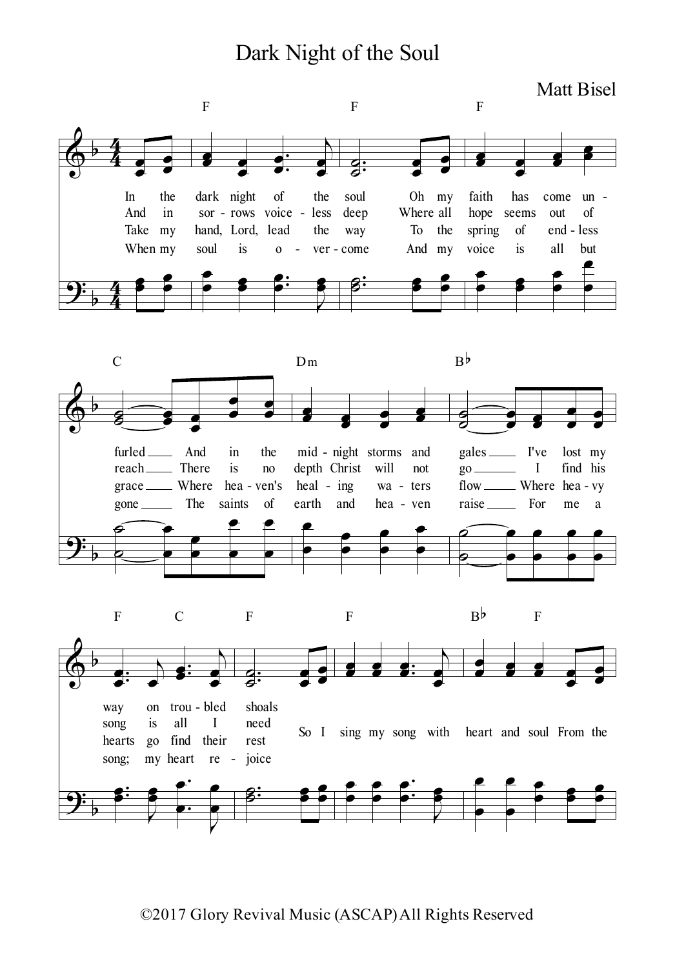## Dark Night of the Soul

Matt Bisel



©2017 Glory Revival Music (ASCAP)All Rights Reserved